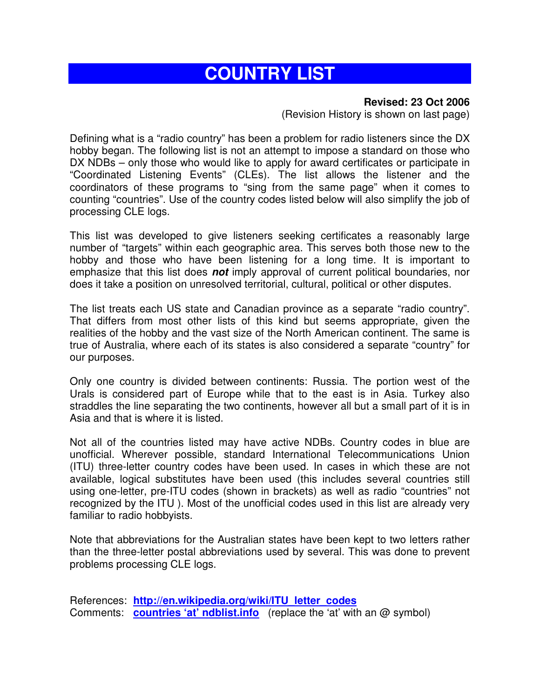# **COUNTRY LIST**

#### **Revised: 23 Oct 2006**

(Revision History is shown on last page)

Defining what is a "radio country" has been a problem for radio listeners since the DX hobby began. The following list is not an attempt to impose a standard on those who DX NDBs – only those who would like to apply for award certificates or participate in "Coordinated Listening Events" (CLEs). The list allows the listener and the coordinators of these programs to "sing from the same page" when it comes to counting "countries". Use of the country codes listed below will also simplify the job of processing CLE logs.

This list was developed to give listeners seeking certificates a reasonably large number of "targets" within each geographic area. This serves both those new to the hobby and those who have been listening for a long time. It is important to emphasize that this list does **not** imply approval of current political boundaries, nor does it take a position on unresolved territorial, cultural, political or other disputes.

The list treats each US state and Canadian province as a separate "radio country". That differs from most other lists of this kind but seems appropriate, given the realities of the hobby and the vast size of the North American continent. The same is true of Australia, where each of its states is also considered a separate "country" for our purposes.

Only one country is divided between continents: Russia. The portion west of the Urals is considered part of Europe while that to the east is in Asia. Turkey also straddles the line separating the two continents, however all but a small part of it is in Asia and that is where it is listed.

Not all of the countries listed may have active NDBs. Country codes in blue are unofficial. Wherever possible, standard International Telecommunications Union (ITU) three-letter country codes have been used. In cases in which these are not available, logical substitutes have been used (this includes several countries still using one-letter, pre-ITU codes (shown in brackets) as well as radio "countries" not recognized by the ITU ). Most of the unofficial codes used in this list are already very familiar to radio hobbyists.

Note that abbreviations for the Australian states have been kept to two letters rather than the three-letter postal abbreviations used by several. This was done to prevent problems processing CLE logs.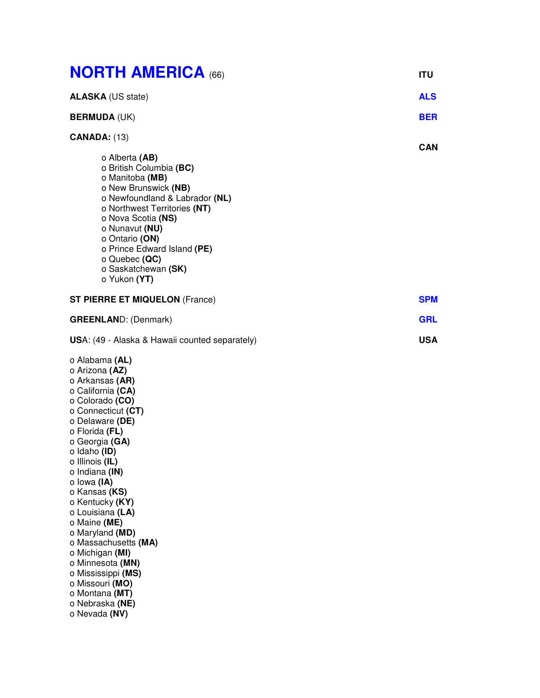| <b>NORTH AMERICA (66)</b>                                                                                                                                                                                                                                                                                                                                                                                                                                                                             | <b>ITU</b> |
|-------------------------------------------------------------------------------------------------------------------------------------------------------------------------------------------------------------------------------------------------------------------------------------------------------------------------------------------------------------------------------------------------------------------------------------------------------------------------------------------------------|------------|
| <b>ALASKA (US state)</b>                                                                                                                                                                                                                                                                                                                                                                                                                                                                              | <b>ALS</b> |
| <b>BERMUDA (UK)</b>                                                                                                                                                                                                                                                                                                                                                                                                                                                                                   | <b>BER</b> |
| <b>CANADA: (13)</b>                                                                                                                                                                                                                                                                                                                                                                                                                                                                                   | <b>CAN</b> |
| o Alberta (AB)<br>o British Columbia (BC)<br>o Manitoba (MB)<br>o New Brunswick (NB)<br>o Newfoundland & Labrador (NL)<br>o Northwest Territories (NT)<br>o Nova Scotia (NS)<br>o Nunavut (NU)<br>o Ontario (ON)<br>o Prince Edward Island (PE)<br>o Quebec (QC)<br>o Saskatchewan (SK)<br>o Yukon (YT)                                                                                                                                                                                               |            |
| <b>ST PIERRE ET MIQUELON (France)</b>                                                                                                                                                                                                                                                                                                                                                                                                                                                                 | <b>SPM</b> |
| <b>GREENLAND: (Denmark)</b>                                                                                                                                                                                                                                                                                                                                                                                                                                                                           | <b>GRL</b> |
| USA: (49 - Alaska & Hawaii counted separately)                                                                                                                                                                                                                                                                                                                                                                                                                                                        | <b>USA</b> |
| o Alabama (AL)<br>o Arizona (AZ)<br>o Arkansas (AR)<br>o California (CA)<br>o Colorado (CO)<br>o Connecticut (CT)<br>o Delaware (DE)<br>o Florida (FL)<br>o Georgia (GA)<br>o Idaho (ID)<br>o Illinois (IL)<br>o Indiana (IN)<br>o lowa (IA)<br>o Kansas (KS)<br>o Kentucky (KY)<br>o Louisiana (LA)<br>o Maine (ME)<br>o Maryland (MD)<br>o Massachusetts (MA)<br>o Michigan (MI)<br>o Minnesota (MN)<br>o Mississippi (MS)<br>o Missouri (MO)<br>o Montana (MT)<br>o Nebraska (NE)<br>o Nevada (NV) |            |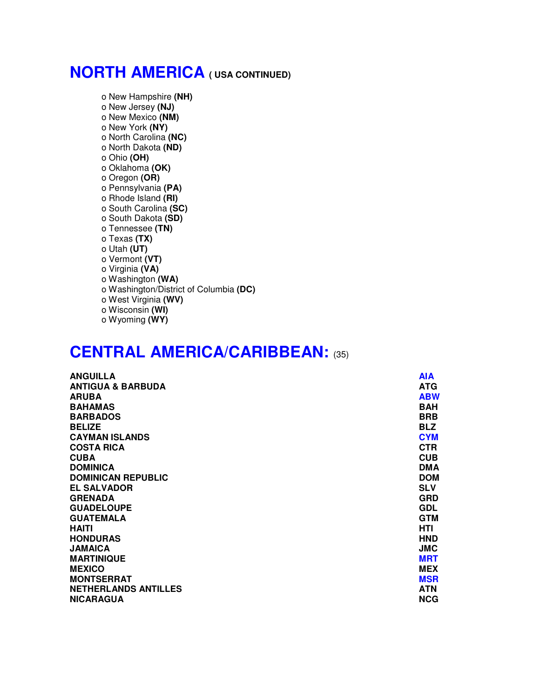## **NORTH AMERICA ( USA CONTINUED)**

o New Hampshire **(NH)** o New Jersey **(NJ)** o New Mexico **(NM)** o New York **(NY)** o North Carolina **(NC)** o North Dakota **(ND)** o Ohio **(OH)** o Oklahoma **(OK)** o Oregon **(OR)** o Pennsylvania **(PA)** o Rhode Island **(RI)** o South Carolina **(SC)** o South Dakota **(SD)** o Tennessee **(TN)** o Texas **(TX)** o Utah **(UT)** o Vermont **(VT)** o Virginia **(VA)** o Washington **(WA)** o Washington/District of Columbia **(DC)** o West Virginia **(WV)** o Wisconsin **(WI)** o Wyoming **(WY)**

### **CENTRAL AMERICA/CARIBBEAN:** (35)

| <b>ANGUILLA</b>              | <b>AIA</b> |
|------------------------------|------------|
| <b>ANTIGUA &amp; BARBUDA</b> | <b>ATG</b> |
| <b>ARUBA</b>                 | <b>ABW</b> |
| <b>BAHAMAS</b>               | <b>BAH</b> |
| <b>BARBADOS</b>              | <b>BRB</b> |
| <b>BELIZE</b>                | <b>BLZ</b> |
| <b>CAYMAN ISLANDS</b>        | <b>CYM</b> |
| <b>COSTA RICA</b>            | <b>CTR</b> |
| <b>CUBA</b>                  | <b>CUB</b> |
| <b>DOMINICA</b>              | <b>DMA</b> |
| <b>DOMINICAN REPUBLIC</b>    | <b>DOM</b> |
| <b>EL SALVADOR</b>           | <b>SLV</b> |
| <b>GRENADA</b>               | <b>GRD</b> |
| <b>GUADELOUPE</b>            | <b>GDL</b> |
| <b>GUATEMALA</b>             | <b>GTM</b> |
| <b>HAITI</b>                 | HTI        |
| <b>HONDURAS</b>              | <b>HND</b> |
| <b>JAMAICA</b>               | <b>JMC</b> |
| <b>MARTINIQUE</b>            | <b>MRT</b> |
| <b>MEXICO</b>                | <b>MEX</b> |
| <b>MONTSERRAT</b>            | <b>MSR</b> |
| <b>NETHERLANDS ANTILLES</b>  | <b>ATN</b> |
| <b>NICARAGUA</b>             | <b>NCG</b> |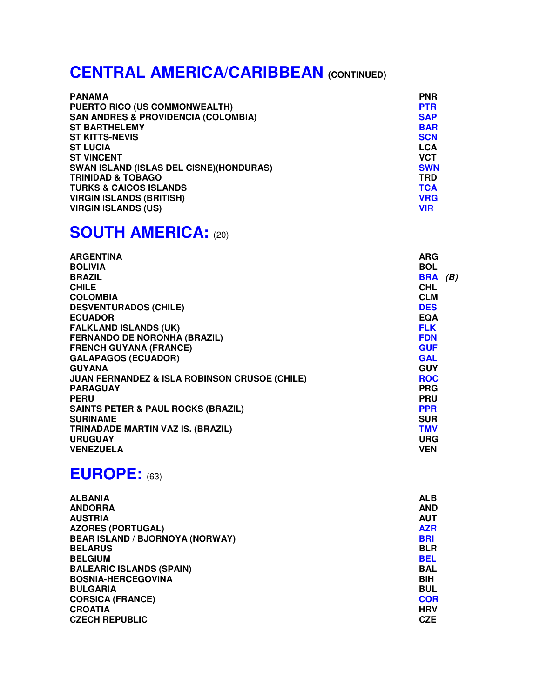# **CENTRAL AMERICA/CARIBBEAN (CONTINUED)**

| <b>PANAMA</b>                                  | <b>PNR</b> |
|------------------------------------------------|------------|
| <b>PUERTO RICO (US COMMONWEALTH)</b>           | <b>PTR</b> |
| <b>SAN ANDRES &amp; PROVIDENCIA (COLOMBIA)</b> | <b>SAP</b> |
| <b>ST BARTHELEMY</b>                           | <b>BAR</b> |
| <b>ST KITTS-NEVIS</b>                          | <b>SCN</b> |
| <b>ST LUCIA</b>                                | <b>LCA</b> |
| <b>ST VINCENT</b>                              | <b>VCT</b> |
| <b>SWAN ISLAND (ISLAS DEL CISNE)(HONDURAS)</b> | <b>SWN</b> |
| <b>TRINIDAD &amp; TOBAGO</b>                   | TRD        |
| <b>TURKS &amp; CAICOS ISLANDS</b>              | <b>TCA</b> |
| <b>VIRGIN ISLANDS (BRITISH)</b>                | <b>VRG</b> |
| <b>VIRGIN ISLANDS (US)</b>                     | <b>VIR</b> |

## **SOUTH AMERICA:** (20)

| <b>ARG</b> |     |
|------------|-----|
| <b>BOL</b> |     |
| <b>BRA</b> | (B) |
| <b>CHL</b> |     |
| <b>CLM</b> |     |
| <b>DES</b> |     |
| <b>EQA</b> |     |
| <b>FLK</b> |     |
| <b>FDN</b> |     |
| <b>GUF</b> |     |
| <b>GAL</b> |     |
| <b>GUY</b> |     |
| <b>ROC</b> |     |
| <b>PRG</b> |     |
| <b>PRU</b> |     |
| <b>PPR</b> |     |
| <b>SUR</b> |     |
| <b>TMV</b> |     |
| <b>URG</b> |     |
| <b>VEN</b> |     |
|            |     |

## **EUROPE:** (63)

| <b>ALBANIA</b>                         | <b>ALB</b> |
|----------------------------------------|------------|
| <b>ANDORRA</b>                         | <b>AND</b> |
| <b>AUSTRIA</b>                         | <b>AUT</b> |
| <b>AZORES (PORTUGAL)</b>               | <b>AZR</b> |
| <b>BEAR ISLAND / BJORNOYA (NORWAY)</b> | <b>BRI</b> |
| <b>BELARUS</b>                         | <b>BLR</b> |
| <b>BELGIUM</b>                         | <b>BEL</b> |
| <b>BALEARIC ISLANDS (SPAIN)</b>        | <b>BAL</b> |
| <b>BOSNIA-HERCEGOVINA</b>              | <b>BIH</b> |
| <b>BULGARIA</b>                        | <b>BUL</b> |
| <b>CORSICA (FRANCE)</b>                | <b>COR</b> |
| <b>CROATIA</b>                         | <b>HRV</b> |
| <b>CZECH REPUBLIC</b>                  | <b>CZE</b> |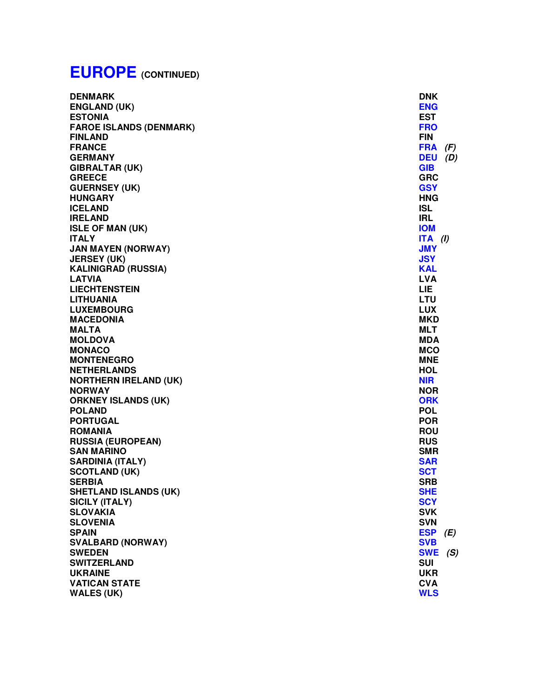# **EUROPE (CONTINUED)**

| <b>DENMARK</b>                 | <b>DNK</b> |     |
|--------------------------------|------------|-----|
| <b>ENGLAND (UK)</b>            | <b>ENG</b> |     |
| <b>ESTONIA</b>                 | <b>EST</b> |     |
| <b>FAROE ISLANDS (DENMARK)</b> | <b>FRO</b> |     |
| <b>FINLAND</b>                 | <b>FIN</b> |     |
| <b>FRANCE</b>                  | <b>FRA</b> | (F) |
| <b>GERMANY</b>                 | <b>DEU</b> | (D) |
| <b>GIBRALTAR (UK)</b>          | <b>GIB</b> |     |
| <b>GREECE</b>                  | <b>GRC</b> |     |
| <b>GUERNSEY (UK)</b>           | <b>GSY</b> |     |
| <b>HUNGARY</b>                 | <b>HNG</b> |     |
| <b>ICELAND</b>                 | <b>ISL</b> |     |
| <b>IRELAND</b>                 | <b>IRL</b> |     |
| <b>ISLE OF MAN (UK)</b>        | <b>IOM</b> |     |
| <b>ITALY</b>                   | $ITA$ (I)  |     |
| <b>JAN MAYEN (NORWAY)</b>      | <b>JMY</b> |     |
| <b>JERSEY (UK)</b>             | <b>JSY</b> |     |
| <b>KALINIGRAD (RUSSIA)</b>     | <b>KAL</b> |     |
| <b>LATVIA</b>                  | <b>LVA</b> |     |
| <b>LIECHTENSTEIN</b>           | <b>LIE</b> |     |
| <b>LITHUANIA</b>               | LTU        |     |
| <b>LUXEMBOURG</b>              | <b>LUX</b> |     |
| <b>MACEDONIA</b>               | <b>MKD</b> |     |
| <b>MALTA</b>                   | <b>MLT</b> |     |
| <b>MOLDOVA</b>                 | <b>MDA</b> |     |
| <b>MONACO</b>                  | <b>MCO</b> |     |
| <b>MONTENEGRO</b>              | <b>MNE</b> |     |
| <b>NETHERLANDS</b>             | <b>HOL</b> |     |
| <b>NORTHERN IRELAND (UK)</b>   | <b>NIR</b> |     |
| <b>NORWAY</b>                  | <b>NOR</b> |     |
| <b>ORKNEY ISLANDS (UK)</b>     | <b>ORK</b> |     |
| <b>POLAND</b>                  | <b>POL</b> |     |
| <b>PORTUGAL</b>                | <b>POR</b> |     |
| <b>ROMANIA</b>                 | <b>ROU</b> |     |
| <b>RUSSIA (EUROPEAN)</b>       | <b>RUS</b> |     |
| <b>SAN MARINO</b>              | <b>SMR</b> |     |
| <b>SARDINIA (ITALY)</b>        | <b>SAR</b> |     |
| <b>SCOTLAND (UK)</b>           | <b>SCT</b> |     |
| <b>SERBIA</b>                  | <b>SRB</b> |     |
| <b>SHETLAND ISLANDS (UK)</b>   | <b>SHE</b> |     |
| <b>SICILY (ITALY)</b>          | <b>SCY</b> |     |
| <b>SLOVAKIA</b>                | <b>SVK</b> |     |
| <b>SLOVENIA</b>                | <b>SVN</b> |     |
| <b>SPAIN</b>                   | <b>ESP</b> | (E) |
| <b>SVALBARD (NORWAY)</b>       | <b>SVB</b> |     |
| <b>SWEDEN</b>                  | <b>SWE</b> | (S) |
| <b>SWITZERLAND</b>             | <b>SUI</b> |     |
| <b>UKRAINE</b>                 | <b>UKR</b> |     |
| <b>VATICAN STATE</b>           | <b>CVA</b> |     |
| <b>WALES (UK)</b>              | <b>WLS</b> |     |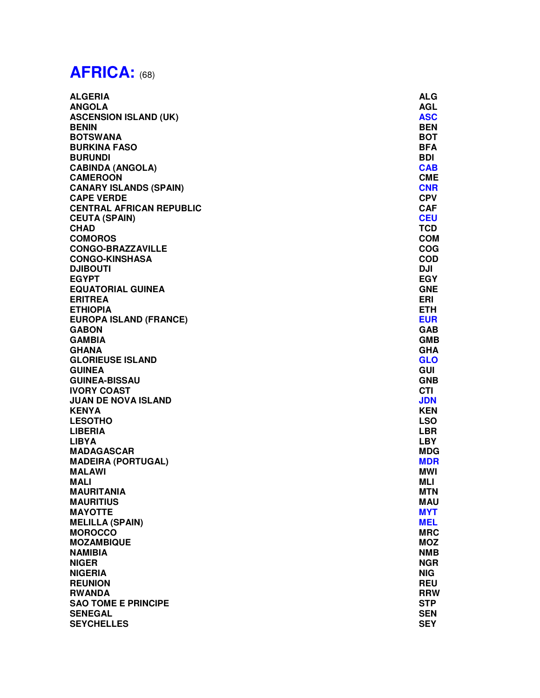# **AFRICA:** (68)

| <b>ALGERIA</b>                  | <b>ALG</b> |
|---------------------------------|------------|
| <b>ANGOLA</b>                   | <b>AGL</b> |
| <b>ASCENSION ISLAND (UK)</b>    | <b>ASC</b> |
| <b>BENIN</b>                    | <b>BEN</b> |
| <b>BOTSWANA</b>                 | <b>BOT</b> |
| <b>BURKINA FASO</b>             | <b>BFA</b> |
| <b>BURUNDI</b>                  | <b>BDI</b> |
| <b>CABINDA (ANGOLA)</b>         | <b>CAB</b> |
| <b>CAMEROON</b>                 | <b>CME</b> |
| <b>CANARY ISLANDS (SPAIN)</b>   | <b>CNR</b> |
| <b>CAPE VERDE</b>               | <b>CPV</b> |
| <b>CENTRAL AFRICAN REPUBLIC</b> | <b>CAF</b> |
|                                 | <b>CEU</b> |
| <b>CEUTA (SPAIN)</b>            |            |
| <b>CHAD</b>                     | <b>TCD</b> |
| <b>COMOROS</b>                  | <b>COM</b> |
| <b>CONGO-BRAZZAVILLE</b>        | <b>COG</b> |
| <b>CONGO-KINSHASA</b>           | <b>COD</b> |
| <b>DJIBOUTI</b>                 | <b>DJI</b> |
| <b>EGYPT</b>                    | <b>EGY</b> |
| <b>EQUATORIAL GUINEA</b>        | <b>GNE</b> |
| <b>ERITREA</b>                  | ERI        |
| <b>ETHIOPIA</b>                 | <b>ETH</b> |
| <b>EUROPA ISLAND (FRANCE)</b>   | <b>EUR</b> |
| <b>GABON</b>                    | <b>GAB</b> |
| <b>GAMBIA</b>                   | <b>GMB</b> |
| <b>GHANA</b>                    | <b>GHA</b> |
| <b>GLORIEUSE ISLAND</b>         | <b>GLO</b> |
| <b>GUINEA</b>                   | <b>GUI</b> |
| <b>GUINEA-BISSAU</b>            | <b>GNB</b> |
| <b>IVORY COAST</b>              | <b>CTI</b> |
| <b>JUAN DE NOVA ISLAND</b>      | <b>JDN</b> |
| <b>KENYA</b>                    | <b>KEN</b> |
| <b>LESOTHO</b>                  | <b>LSO</b> |
| <b>LIBERIA</b>                  | <b>LBR</b> |
| <b>LIBYA</b>                    | <b>LBY</b> |
| <b>MADAGASCAR</b>               | <b>MDG</b> |
| <b>MADEIRA (PORTUGAL)</b>       | <b>MDR</b> |
| <b>MALAWI</b>                   | <b>MWI</b> |
| <b>MALI</b>                     | <b>MLI</b> |
| <b>MAURITANIA</b>               | <b>MTN</b> |
| <b>MAURITIUS</b>                | <b>MAU</b> |
| <b>MAYOTTE</b>                  | <b>MYT</b> |
|                                 | <b>MEL</b> |
| <b>MELILLA (SPAIN)</b>          |            |
| <b>MOROCCO</b>                  | <b>MRC</b> |
| <b>MOZAMBIQUE</b>               | <b>MOZ</b> |
| <b>NAMIBIA</b>                  | <b>NMB</b> |
| <b>NIGER</b>                    | <b>NGR</b> |
| <b>NIGERIA</b>                  | <b>NIG</b> |
| <b>REUNION</b>                  | <b>REU</b> |
| <b>RWANDA</b>                   | <b>RRW</b> |
| <b>SAO TOME E PRINCIPE</b>      | <b>STP</b> |
| <b>SENEGAL</b>                  | <b>SEN</b> |
| <b>SEYCHELLES</b>               | <b>SEY</b> |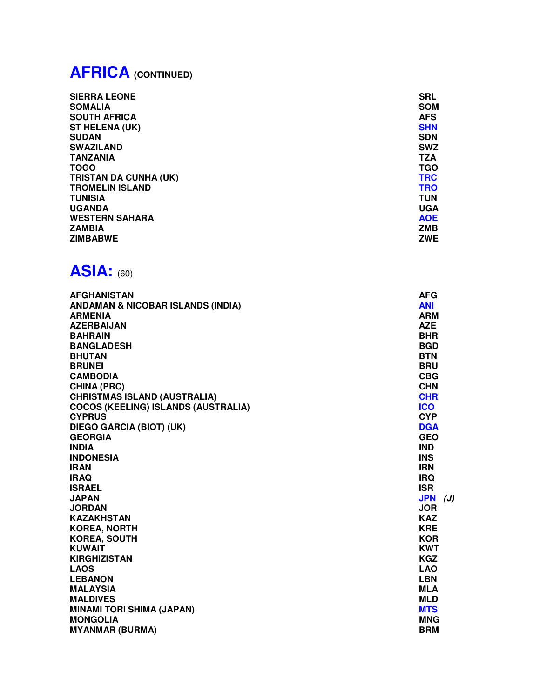# **AFRICA (CONTINUED)**

| <b>SIERRA LEONE</b>          | <b>SRL</b> |
|------------------------------|------------|
| <b>SOMALIA</b>               | <b>SOM</b> |
| <b>SOUTH AFRICA</b>          | <b>AFS</b> |
| <b>ST HELENA (UK)</b>        | <b>SHN</b> |
| <b>SUDAN</b>                 | <b>SDN</b> |
| <b>SWAZILAND</b>             | <b>SWZ</b> |
| <b>TANZANIA</b>              | <b>TZA</b> |
| <b>TOGO</b>                  | TGO        |
| <b>TRISTAN DA CUNHA (UK)</b> | <b>TRC</b> |
| <b>TROMELIN ISLAND</b>       | <b>TRO</b> |
| <b>TUNISIA</b>               | <b>TUN</b> |
| <b>UGANDA</b>                | <b>UGA</b> |
| <b>WESTERN SAHARA</b>        | <b>AOE</b> |
| <b>ZAMBIA</b>                | <b>ZMB</b> |
| <b>ZIMBABWE</b>              | <b>ZWE</b> |

## **ASIA:** (60)

| AFGHANISTAN                                  | <b>AFG</b>        |
|----------------------------------------------|-------------------|
| <b>ANDAMAN &amp; NICOBAR ISLANDS (INDIA)</b> | <b>ANI</b>        |
| <b>ARMENIA</b>                               | <b>ARM</b>        |
| <b>AZERBAIJAN</b>                            | <b>AZE</b>        |
| <b>BAHRAIN</b>                               | <b>BHR</b>        |
| <b>BANGLADESH</b>                            | <b>BGD</b>        |
| <b>BHUTAN</b>                                | <b>BTN</b>        |
| <b>BRUNEI</b>                                | <b>BRU</b>        |
| <b>CAMBODIA</b>                              | <b>CBG</b>        |
| <b>CHINA (PRC)</b>                           | <b>CHN</b>        |
| <b>CHRISTMAS ISLAND (AUSTRALIA)</b>          | <b>CHR</b>        |
| <b>COCOS (KEELING) ISLANDS (AUSTRALIA)</b>   | <b>ICO</b>        |
| <b>CYPRUS</b>                                | <b>CYP</b>        |
| DIEGO GARCIA (BIOT) (UK)                     | <b>DGA</b>        |
| <b>GEORGIA</b>                               | <b>GEO</b>        |
| <b>INDIA</b>                                 | <b>IND</b>        |
| <b>INDONESIA</b>                             | <b>INS</b>        |
| <b>IRAN</b>                                  | <b>IRN</b>        |
| <b>IRAQ</b>                                  | <b>IRQ</b>        |
| <b>ISRAEL</b>                                | <b>ISR</b>        |
| <b>JAPAN</b>                                 | <b>JPN</b><br>(J) |
| <b>JORDAN</b>                                | <b>JOR</b>        |
| <b>KAZAKHSTAN</b>                            | <b>KAZ</b>        |
| <b>KOREA, NORTH</b>                          | <b>KRE</b>        |
| <b>KOREA, SOUTH</b>                          | <b>KOR</b>        |
| <b>KUWAIT</b>                                | <b>KWT</b>        |
| <b>KIRGHIZISTAN</b>                          | <b>KGZ</b>        |
| <b>LAOS</b>                                  | <b>LAO</b>        |
| <b>LEBANON</b>                               | <b>LBN</b>        |
| <b>MALAYSIA</b>                              | <b>MLA</b>        |
| <b>MALDIVES</b>                              | <b>MLD</b>        |
| <b>MINAMI TORI SHIMA (JAPAN)</b>             | <b>MTS</b>        |
| <b>MONGOLIA</b>                              | <b>MNG</b>        |
| <b>MYANMAR (BURMA)</b>                       | <b>BRM</b>        |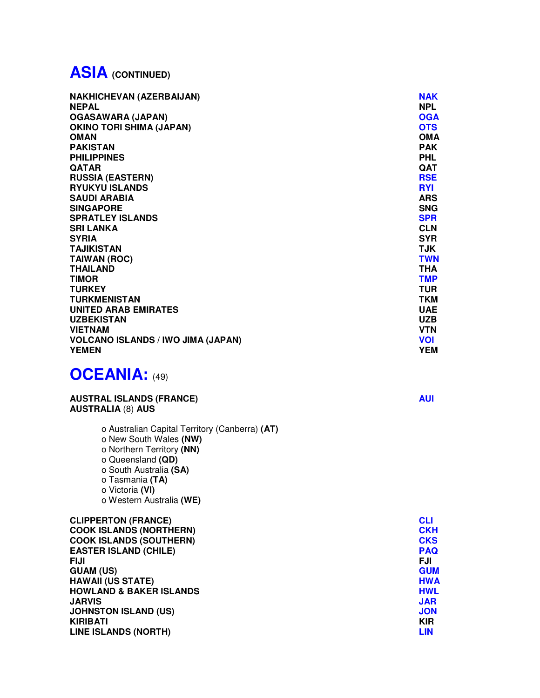## **ASIA (CONTINUED)**

| <b>NAKHICHEVAN (AZERBAIJAN)</b>           | <b>NAK</b> |
|-------------------------------------------|------------|
| <b>NEPAL</b>                              | <b>NPL</b> |
| <b>OGASAWARA (JAPAN)</b>                  | <b>OGA</b> |
| <b>OKINO TORI SHIMA (JAPAN)</b>           | <b>OTS</b> |
| <b>OMAN</b>                               | <b>OMA</b> |
| <b>PAKISTAN</b>                           | <b>PAK</b> |
| <b>PHILIPPINES</b>                        | <b>PHL</b> |
| <b>QATAR</b>                              | <b>QAT</b> |
| <b>RUSSIA (EASTERN)</b>                   | <b>RSE</b> |
| <b>RYUKYU ISLANDS</b>                     | <b>RYI</b> |
| <b>SAUDI ARABIA</b>                       | <b>ARS</b> |
| <b>SINGAPORE</b>                          | <b>SNG</b> |
| <b>SPRATLEY ISLANDS</b>                   | <b>SPR</b> |
| <b>SRI LANKA</b>                          | <b>CLN</b> |
| <b>SYRIA</b>                              | <b>SYR</b> |
| <b>TAJIKISTAN</b>                         | <b>TJK</b> |
| <b>TAIWAN (ROC)</b>                       | <b>TWN</b> |
| <b>THAILAND</b>                           | <b>THA</b> |
| <b>TIMOR</b>                              | <b>TMP</b> |
| <b>TURKEY</b>                             | <b>TUR</b> |
| <b>TURKMENISTAN</b>                       | <b>TKM</b> |
| UNITED ARAB EMIRATES                      | <b>UAE</b> |
| <b>UZBEKISTAN</b>                         | <b>UZB</b> |
| <b>VIETNAM</b>                            | <b>VTN</b> |
| <b>VOLCANO ISLANDS / IWO JIMA (JAPAN)</b> | <b>VOI</b> |
| <b>YEMEN</b>                              | <b>YEM</b> |

#### **OCEANIA:** (49)

#### **AUSTRAL ISLANDS (FRANCE)** AUII AUI **AUSTRALIA** (8) **AUS**

o Australian Capital Territory (Canberra) **(AT)** o New South Wales **(NW)** o Northern Territory **(NN)** o Queensland **(QD)** o South Australia **(SA)** o Tasmania **(TA)** o Victoria **(VI)** o Western Australia **(WE)**

| <b>CLIPPERTON (FRANCE)</b>         | <b>CLI</b> |
|------------------------------------|------------|
| <b>COOK ISLANDS (NORTHERN)</b>     | <b>CKH</b> |
| <b>COOK ISLANDS (SOUTHERN)</b>     | <b>CKS</b> |
| <b>EASTER ISLAND (CHILE)</b>       | <b>PAQ</b> |
| FIJI                               | <b>FJI</b> |
| <b>GUAM (US)</b>                   | <b>GUM</b> |
| <b>HAWAII (US STATE)</b>           | <b>HWA</b> |
| <b>HOWLAND &amp; BAKER ISLANDS</b> | <b>HWL</b> |
| <b>JARVIS</b>                      | <b>JAR</b> |
| <b>JOHNSTON ISLAND (US)</b>        | <b>JON</b> |
| <b>KIRIBATI</b>                    | <b>KIR</b> |
| <b>LINE ISLANDS (NORTH)</b>        | <b>LIN</b> |
|                                    |            |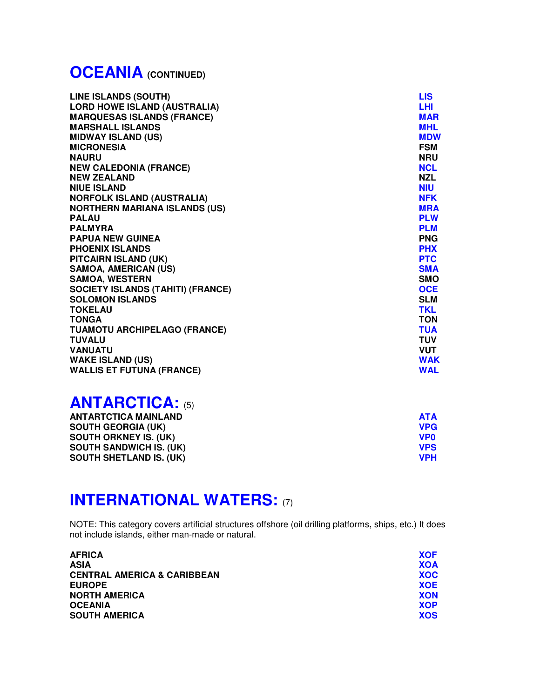## **OCEANIA (CONTINUED)**

| <b>LINE ISLANDS (SOUTH)</b>              | <b>LIS</b> |
|------------------------------------------|------------|
| <b>LORD HOWE ISLAND (AUSTRALIA)</b>      | <b>LHI</b> |
| <b>MARQUESAS ISLANDS (FRANCE)</b>        | <b>MAR</b> |
| <b>MARSHALL ISLANDS</b>                  | <b>MHL</b> |
| <b>MIDWAY ISLAND (US)</b>                | <b>MDW</b> |
| <b>MICRONESIA</b>                        | <b>FSM</b> |
| <b>NAURU</b>                             | <b>NRU</b> |
| <b>NEW CALEDONIA (FRANCE)</b>            | <b>NCL</b> |
| <b>NEW ZEALAND</b>                       | <b>NZL</b> |
| <b>NIUE ISLAND</b>                       | <b>NIU</b> |
| <b>NORFOLK ISLAND (AUSTRALIA)</b>        | <b>NFK</b> |
| <b>NORTHERN MARIANA ISLANDS (US)</b>     | <b>MRA</b> |
| <b>PALAU</b>                             | <b>PLW</b> |
| <b>PALMYRA</b>                           | <b>PLM</b> |
| <b>PAPUA NEW GUINEA</b>                  | <b>PNG</b> |
| <b>PHOENIX ISLANDS</b>                   | <b>PHX</b> |
| PITCAIRN ISLAND (UK)                     | <b>PTC</b> |
| <b>SAMOA, AMERICAN (US)</b>              | <b>SMA</b> |
| <b>SAMOA, WESTERN</b>                    | <b>SMO</b> |
| <b>SOCIETY ISLANDS (TAHITI) (FRANCE)</b> | <b>OCE</b> |
| <b>SOLOMON ISLANDS</b>                   | <b>SLM</b> |
| <b>TOKELAU</b>                           | <b>TKL</b> |
| <b>TONGA</b>                             | <b>TON</b> |
| <b>TUAMOTU ARCHIPELAGO (FRANCE)</b>      | <b>TUA</b> |
| <b>TUVALU</b>                            | <b>TUV</b> |
| <b>VANUATU</b>                           | <b>VUT</b> |
| <b>WAKE ISLAND (US)</b>                  | <b>WAK</b> |
| <b>WALLIS ET FUTUNA (FRANCE)</b>         | <b>WAL</b> |

### **ANTARCTICA:** (5)

| <b>ANTARTCTICA MAINLAND</b>    | ATA             |
|--------------------------------|-----------------|
| <b>SOUTH GEORGIA (UK)</b>      | <b>VPG</b>      |
| <b>SOUTH ORKNEY IS. (UK)</b>   | VP <sub>0</sub> |
| <b>SOUTH SANDWICH IS. (UK)</b> | <b>VPS</b>      |
| <b>SOUTH SHETLAND IS. (UK)</b> | <b>VPH</b>      |

## **INTERNATIONAL WATERS: (7)**

NOTE: This category covers artificial structures offshore (oil drilling platforms, ships, etc.) It does not include islands, either man-made or natural.

| <b>XOF</b> |
|------------|
| <b>XOA</b> |
| <b>XOC</b> |
| <b>XOE</b> |
| <b>XON</b> |
| <b>XOP</b> |
| <b>XOS</b> |
|            |